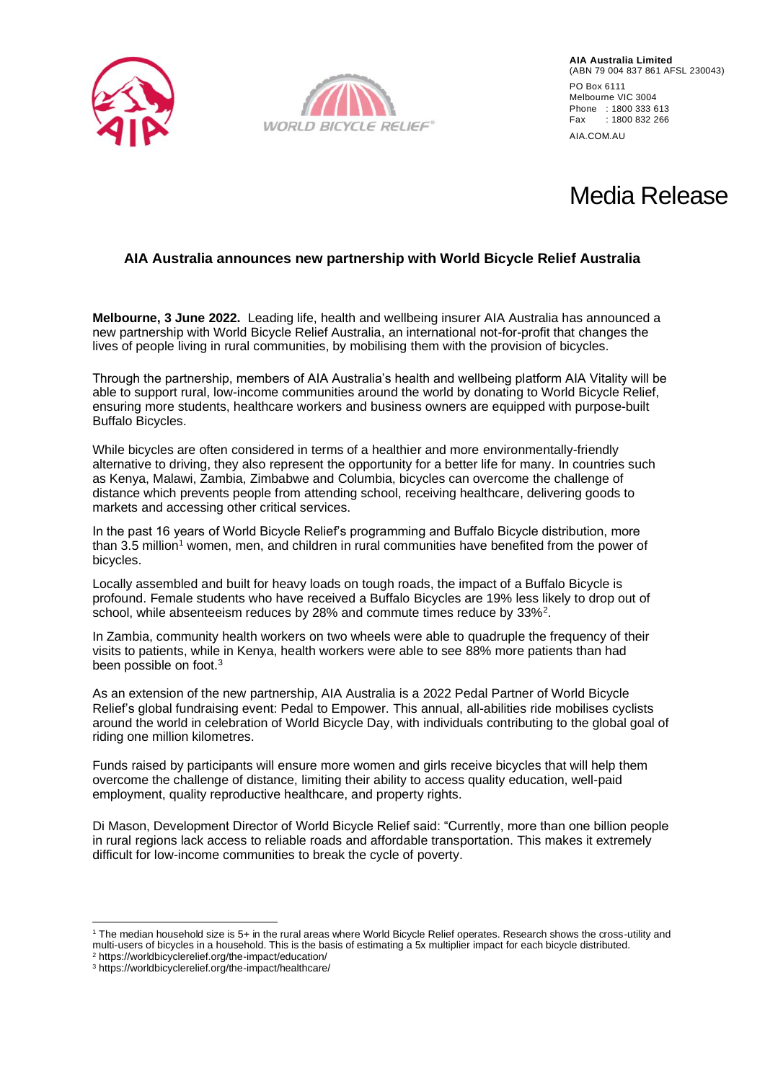



# Media Release

## **AIA Australia announces new partnership with World Bicycle Relief Australia**

**Melbourne, 3 June 2022.** Leading life, health and wellbeing insurer AIA Australia has announced a new partnership with World Bicycle Relief Australia, an international not-for-profit that changes the lives of people living in rural communities, by mobilising them with the provision of bicycles.

Through the partnership, members of AIA Australia's health and wellbeing platform AIA Vitality will be able to support rural, low-income communities around the world by donating to World Bicycle Relief, ensuring more students, healthcare workers and business owners are equipped with purpose-built Buffalo Bicycles.

While bicycles are often considered in terms of a healthier and more environmentally-friendly alternative to driving, they also represent the opportunity for a better life for many. In countries such as Kenya, Malawi, Zambia, Zimbabwe and Columbia, bicycles can overcome the challenge of distance which prevents people from attending school, receiving healthcare, delivering goods to markets and accessing other critical services.

In the past 16 years of World Bicycle Relief's programming and Buffalo Bicycle distribution, more than 3.5 million<sup>1</sup> women, men, and children in rural communities have benefited from the power of bicycles.

Locally assembled and built for heavy loads on tough roads, the impact of a Buffalo Bicycle is profound. Female students who have received a Buffalo Bicycles are 19% less likely to drop out of school, while absenteeism reduces by 28% and commute times reduce by 33%<sup>2</sup>.

In Zambia, community health workers on two wheels were able to quadruple the frequency of their visits to patients, while in Kenya, health workers were able to see 88% more patients than had been possible on foot.<sup>3</sup>

As an extension of the new partnership, AIA Australia is a 2022 Pedal Partner of World Bicycle Relief's global fundraising event: Pedal to Empower. This annual, all-abilities ride mobilises cyclists around the world in celebration of World Bicycle Day, with individuals contributing to the global goal of riding one million kilometres.

Funds raised by participants will ensure more women and girls receive bicycles that will help them overcome the challenge of distance, limiting their ability to access quality education, well-paid employment, quality reproductive healthcare, and property rights.

Di Mason, Development Director of World Bicycle Relief said: "Currently, more than one billion people in rural regions lack access to reliable roads and affordable transportation. This makes it extremely difficult for low-income communities to break the cycle of poverty.

<sup>1</sup> The median household size is 5+ in the rural areas where World Bicycle Relief operates. Research shows the cross-utility and multi-users of bicycles in a household. This is the basis of estimating a 5x multiplier impact for each bicycle distributed.

<sup>2</sup> https://worldbicyclerelief.org/the-impact/education/

<sup>3</sup> https://worldbicyclerelief.org/the-impact/healthcare/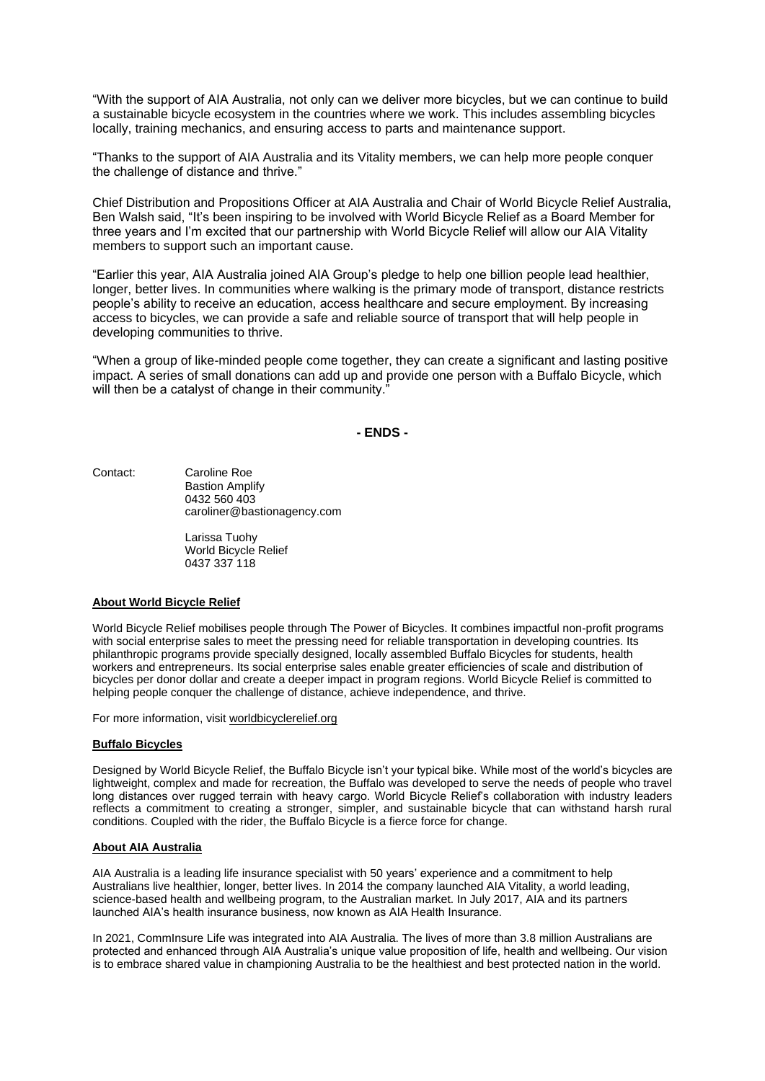"With the support of AIA Australia, not only can we deliver more bicycles, but we can continue to build a sustainable bicycle ecosystem in the countries where we work. This includes assembling bicycles locally, training mechanics, and ensuring access to parts and maintenance support.

"Thanks to the support of AIA Australia and its Vitality members, we can help more people conquer the challenge of distance and thrive."

Chief Distribution and Propositions Officer at AIA Australia and Chair of World Bicycle Relief Australia, Ben Walsh said, "It's been inspiring to be involved with World Bicycle Relief as a Board Member for three years and I'm excited that our partnership with World Bicycle Relief will allow our AIA Vitality members to support such an important cause.

"Earlier this year, AIA Australia joined AIA Group's pledge to help one billion people lead healthier, longer, better lives. In communities where walking is the primary mode of transport, distance restricts people's ability to receive an education, access healthcare and secure employment. By increasing access to bicycles, we can provide a safe and reliable source of transport that will help people in developing communities to thrive.

"When a group of like-minded people come together, they can create a significant and lasting positive impact. A series of small donations can add up and provide one person with a Buffalo Bicycle, which will then be a catalyst of change in their community.

**- ENDS -**

Contact: Caroline Roe

Bastion Amplify 0432 560 403 caroliner@bastionagency.com

Larissa Tuohy World Bicycle Relief 0437 337 118

### **About World Bicycle Relief**

World Bicycle Relief mobilises people through The Power of Bicycles. It combines impactful non-profit programs with social enterprise sales to meet the pressing need for reliable transportation in developing countries. Its philanthropic programs provide specially designed, locally assembled Buffalo Bicycles for students, health workers and entrepreneurs. Its social enterprise sales enable greater efficiencies of scale and distribution of bicycles per donor dollar and create a deeper impact in program regions. World Bicycle Relief is committed to helping people conquer the challenge of distance, achieve independence, and thrive.

For more information, visit worldbicyclerelief.org

#### **Buffalo Bicycles**

Designed by World Bicycle Relief, the Buffalo Bicycle isn't your typical bike. While most of the world's bicycles are lightweight, complex and made for recreation, the Buffalo was developed to serve the needs of people who travel long distances over rugged terrain with heavy cargo. World Bicycle Relief's collaboration with industry leaders reflects a commitment to creating a stronger, simpler, and sustainable bicycle that can withstand harsh rural conditions. Coupled with the rider, the Buffalo Bicycle is a fierce force for change.

#### **About AIA Australia**

AIA Australia is a leading life insurance specialist with 50 years' experience and a commitment to help Australians live healthier, longer, better lives. In 2014 the company launched AIA Vitality, a world leading, science-based health and wellbeing program, to the Australian market. In July 2017, AIA and its partners launched AIA's health insurance business, now known as AIA Health Insurance.

In 2021, CommInsure Life was integrated into AIA Australia. The lives of more than 3.8 million Australians are protected and enhanced through AIA Australia's unique value proposition of life, health and wellbeing. Our vision is to embrace shared value in championing Australia to be the healthiest and best protected nation in the world.